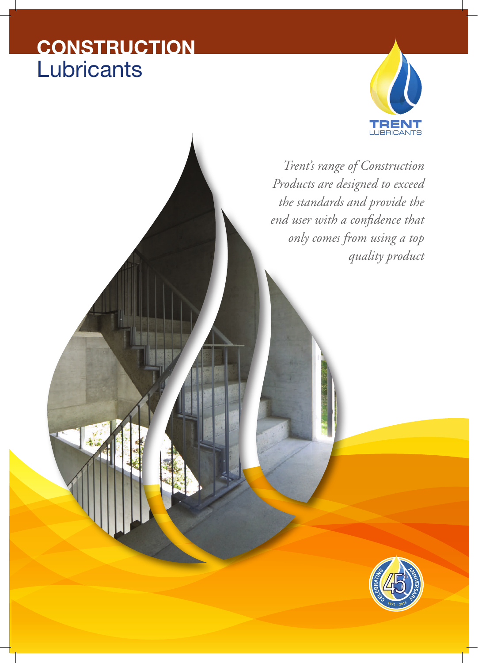# **CONSTRUCTION Lubricants**



*Trent's range of Construction Products are designed to exceed the standards and provide the end user with a confidence that only comes from using a top quality product*